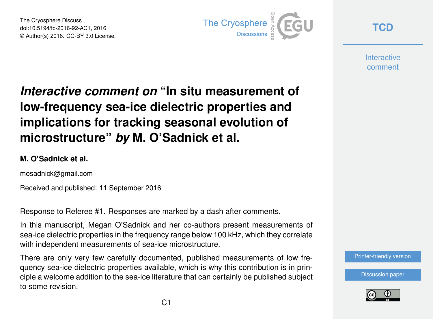The Cryosphere Discuss., doi:10.5194/tc-2016-92-AC1, 2016 © Author(s) 2016. CC-BY 3.0 License.



**[TCD](http://www.the-cryosphere-discuss.net/)**

**Interactive** comment

# *Interactive comment on* **"In situ measurement of low-frequency sea-ice dielectric properties and implications for tracking seasonal evolution of microstructure"** *by* **M. O'Sadnick et al.**

#### **M. O'Sadnick et al.**

mosadnick@gmail.com

Received and published: 11 September 2016

Response to Referee #1. Responses are marked by a dash after comments.

In this manuscript, Megan O'Sadnick and her co-authors present measurements of sea-ice dielectric properties in the frequency range below 100 kHz, which they correlate with independent measurements of sea-ice microstructure.

There are only very few carefully documented, published measurements of low frequency sea-ice dielectric properties available, which is why this contribution is in principle a welcome addition to the sea-ice literature that can certainly be published subject to some revision.

[Printer-friendly version](http://www.the-cryosphere-discuss.net/tc-2016-92/tc-2016-92-AC1-print.pdf)

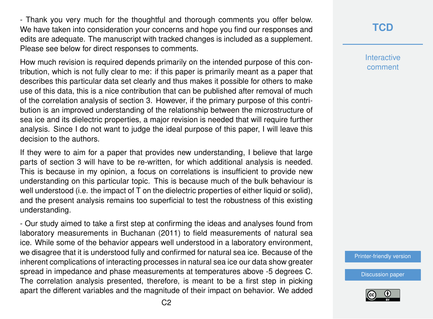- Thank you very much for the thoughtful and thorough comments you offer below. We have taken into consideration your concerns and hope you find our responses and edits are adequate. The manuscript with tracked changes is included as a supplement. Please see below for direct responses to comments.

How much revision is required depends primarily on the intended purpose of this contribution, which is not fully clear to me: if this paper is primarily meant as a paper that describes this particular data set clearly and thus makes it possible for others to make use of this data, this is a nice contribution that can be published after removal of much of the correlation analysis of section 3. However, if the primary purpose of this contribution is an improved understanding of the relationship between the microstructure of sea ice and its dielectric properties, a major revision is needed that will require further analysis. Since I do not want to judge the ideal purpose of this paper, I will leave this decision to the authors.

If they were to aim for a paper that provides new understanding, I believe that large parts of section 3 will have to be re-written, for which additional analysis is needed. This is because in my opinion, a focus on correlations is insufficient to provide new understanding on this particular topic. This is because much of the bulk behaviour is well understood (i.e. the impact of T on the dielectric properties of either liquid or solid), and the present analysis remains too superficial to test the robustness of this existing understanding.

- Our study aimed to take a first step at confirming the ideas and analyses found from laboratory measurements in Buchanan (2011) to field measurements of natural sea ice. While some of the behavior appears well understood in a laboratory environment, we disagree that it is understood fully and confirmed for natural sea ice. Because of the inherent complications of interacting processes in natural sea ice our data show greater spread in impedance and phase measurements at temperatures above -5 degrees C. The correlation analysis presented, therefore, is meant to be a first step in picking apart the different variables and the magnitude of their impact on behavior. We added

#### **[TCD](http://www.the-cryosphere-discuss.net/)**

**Interactive** comment

[Printer-friendly version](http://www.the-cryosphere-discuss.net/tc-2016-92/tc-2016-92-AC1-print.pdf)

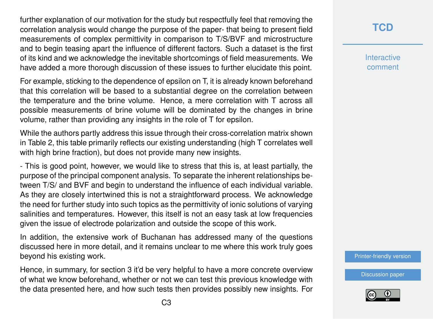further explanation of our motivation for the study but respectfully feel that removing the correlation analysis would change the purpose of the paper- that being to present field measurements of complex permittivity in comparison to T/S/BVF and microstructure and to begin teasing apart the influence of different factors. Such a dataset is the first of its kind and we acknowledge the inevitable shortcomings of field measurements. We have added a more thorough discussion of these issues to further elucidate this point.

For example, sticking to the dependence of epsilon on T, it is already known beforehand that this correlation will be based to a substantial degree on the correlation between the temperature and the brine volume. Hence, a mere correlation with T across all possible measurements of brine volume will be dominated by the changes in brine volume, rather than providing any insights in the role of T for epsilon.

While the authors partly address this issue through their cross-correlation matrix shown in Table 2, this table primarily reflects our existing understanding (high T correlates well with high brine fraction), but does not provide many new insights.

- This is good point, however, we would like to stress that this is, at least partially, the purpose of the principal component analysis. To separate the inherent relationships between T/S/ and BVF and begin to understand the influence of each individual variable. As they are closely intertwined this is not a straightforward process. We acknowledge the need for further study into such topics as the permittivity of ionic solutions of varying salinities and temperatures. However, this itself is not an easy task at low frequencies given the issue of electrode polarization and outside the scope of this work.

In addition, the extensive work of Buchanan has addressed many of the questions discussed here in more detail, and it remains unclear to me where this work truly goes beyond his existing work.

Hence, in summary, for section 3 it'd be very helpful to have a more concrete overview of what we know beforehand, whether or not we can test this previous knowledge with the data presented here, and how such tests then provides possibly new insights. For **Interactive** comment

[Printer-friendly version](http://www.the-cryosphere-discuss.net/tc-2016-92/tc-2016-92-AC1-print.pdf)

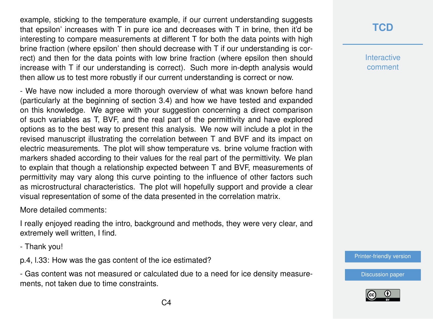example, sticking to the temperature example, if our current understanding suggests that epsilon' increases with  $T$  in pure ice and decreases with  $T$  in brine, then it'd be interesting to compare measurements at different T for both the data points with high brine fraction (where epsilon' then should decrease with T if our understanding is correct) and then for the data points with low brine fraction (where epsilon then should increase with T if our understanding is correct). Such more in-depth analysis would then allow us to test more robustly if our current understanding is correct or now.

- We have now included a more thorough overview of what was known before hand (particularly at the beginning of section 3.4) and how we have tested and expanded on this knowledge. We agree with your suggestion concerning a direct comparison of such variables as T, BVF, and the real part of the permittivity and have explored options as to the best way to present this analysis. We now will include a plot in the revised manuscript illustrating the correlation between T and BVF and its impact on electric measurements. The plot will show temperature vs. brine volume fraction with markers shaded according to their values for the real part of the permittivity. We plan to explain that though a relationship expected between T and BVF, measurements of permittivity may vary along this curve pointing to the influence of other factors such as microstructural characteristics. The plot will hopefully support and provide a clear visual representation of some of the data presented in the correlation matrix.

More detailed comments:

I really enjoyed reading the intro, background and methods, they were very clear, and extremely well written, I find.

- Thank you!

p.4, l.33: How was the gas content of the ice estimated?

- Gas content was not measured or calculated due to a need for ice density measurements, not taken due to time constraints.

### **[TCD](http://www.the-cryosphere-discuss.net/)**

**Interactive** comment

[Printer-friendly version](http://www.the-cryosphere-discuss.net/tc-2016-92/tc-2016-92-AC1-print.pdf)

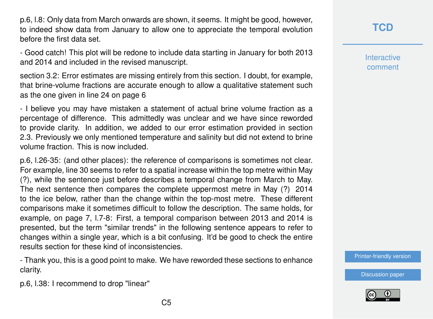p.6, l.8: Only data from March onwards are shown, it seems. It might be good, however, to indeed show data from January to allow one to appreciate the temporal evolution before the first data set.

- Good catch! This plot will be redone to include data starting in January for both 2013 and 2014 and included in the revised manuscript.

section 3.2: Error estimates are missing entirely from this section. I doubt, for example, that brine-volume fractions are accurate enough to allow a qualitative statement such as the one given in line 24 on page 6

- I believe you may have mistaken a statement of actual brine volume fraction as a percentage of difference. This admittedly was unclear and we have since reworded to provide clarity. In addition, we added to our error estimation provided in section 2.3. Previously we only mentioned temperature and salinity but did not extend to brine volume fraction. This is now included.

p.6, l.26-35: (and other places): the reference of comparisons is sometimes not clear. For example, line 30 seems to refer to a spatial increase within the top metre within May (?), while the sentence just before describes a temporal change from March to May. The next sentence then compares the complete uppermost metre in May (?) 2014 to the ice below, rather than the change within the top-most metre. These different comparisons make it sometimes difficult to follow the description. The same holds, for example, on page 7, l.7-8: First, a temporal comparison between 2013 and 2014 is presented, but the term "similar trends" in the following sentence appears to refer to changes within a single year, which is a bit confusing. It'd be good to check the entire results section for these kind of inconsistencies.

- Thank you, this is a good point to make. We have reworded these sections to enhance clarity.

p.6, l.38: I recommend to drop "linear"

**Interactive** comment

[Printer-friendly version](http://www.the-cryosphere-discuss.net/tc-2016-92/tc-2016-92-AC1-print.pdf)